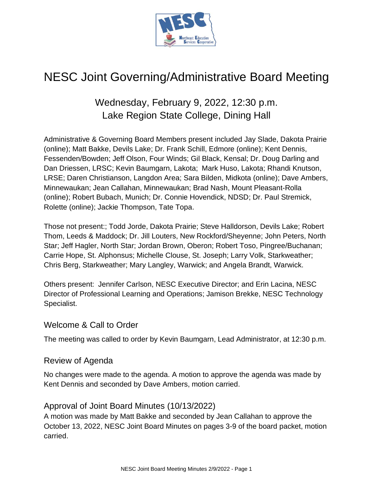

# NESC Joint Governing/Administrative Board Meeting

# Wednesday, February 9, 2022, 12:30 p.m. Lake Region State College, Dining Hall

Administrative & Governing Board Members present included Jay Slade, Dakota Prairie (online); Matt Bakke, Devils Lake; Dr. Frank Schill, Edmore (online); Kent Dennis, Fessenden/Bowden; Jeff Olson, Four Winds; Gil Black, Kensal; Dr. Doug Darling and Dan Driessen, LRSC; Kevin Baumgarn, Lakota; Mark Huso, Lakota; Rhandi Knutson, LRSE; Daren Christianson, Langdon Area; Sara Bilden, Midkota (online); Dave Ambers, Minnewaukan; Jean Callahan, Minnewaukan; Brad Nash, Mount Pleasant-Rolla (online); Robert Bubach, Munich; Dr. Connie Hovendick, NDSD; Dr. Paul Stremick, Rolette (online); Jackie Thompson, Tate Topa.

Those not present:; Todd Jorde, Dakota Prairie; Steve Halldorson, Devils Lake; Robert Thom, Leeds & Maddock; Dr. Jill Louters, New Rockford/Sheyenne; John Peters, North Star; Jeff Hagler, North Star; Jordan Brown, Oberon; Robert Toso, Pingree/Buchanan; Carrie Hope, St. Alphonsus; Michelle Clouse, St. Joseph; Larry Volk, Starkweather; Chris Berg, Starkweather; Mary Langley, Warwick; and Angela Brandt, Warwick.

Others present: Jennifer Carlson, NESC Executive Director; and Erin Lacina, NESC Director of Professional Learning and Operations; Jamison Brekke, NESC Technology Specialist.

# Welcome & Call to Order

The meeting was called to order by Kevin Baumgarn, Lead Administrator, at 12:30 p.m.

# Review of Agenda

No changes were made to the agenda. A motion to approve the agenda was made by Kent Dennis and seconded by Dave Ambers, motion carried.

# Approval of Joint Board Minutes (10/13/2022)

A motion was made by Matt Bakke and seconded by Jean Callahan to approve the October 13, 2022, NESC Joint Board Minutes on pages 3-9 of the board packet, motion carried.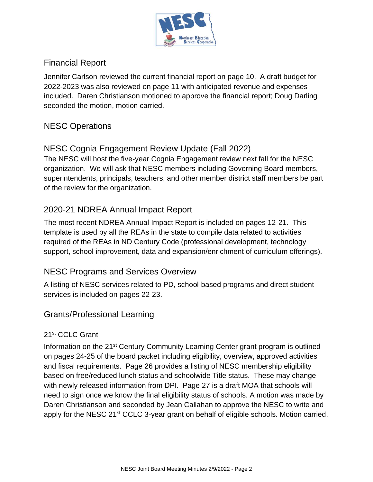

# Financial Report

Jennifer Carlson reviewed the current financial report on page 10. A draft budget for 2022-2023 was also reviewed on page 11 with anticipated revenue and expenses included. Daren Christianson motioned to approve the financial report; Doug Darling seconded the motion, motion carried.

# NESC Operations

# NESC Cognia Engagement Review Update (Fall 2022)

The NESC will host the five-year Cognia Engagement review next fall for the NESC organization. We will ask that NESC members including Governing Board members, superintendents, principals, teachers, and other member district staff members be part of the review for the organization.

# 2020-21 NDREA Annual Impact Report

The most recent NDREA Annual Impact Report is included on pages 12-21. This template is used by all the REAs in the state to compile data related to activities required of the REAs in ND Century Code (professional development, technology support, school improvement, data and expansion/enrichment of curriculum offerings).

# NESC Programs and Services Overview

A listing of NESC services related to PD, school-based programs and direct student services is included on pages 22-23.

# Grants/Professional Learning

### 21st CCLC Grant

Information on the 21st Century Community Learning Center grant program is outlined on pages 24-25 of the board packet including eligibility, overview, approved activities and fiscal requirements. Page 26 provides a listing of NESC membership eligibility based on free/reduced lunch status and schoolwide Title status. These may change with newly released information from DPI. Page 27 is a draft MOA that schools will need to sign once we know the final eligibility status of schools. A motion was made by Daren Christianson and seconded by Jean Callahan to approve the NESC to write and apply for the NESC 21<sup>st</sup> CCLC 3-year grant on behalf of eligible schools. Motion carried.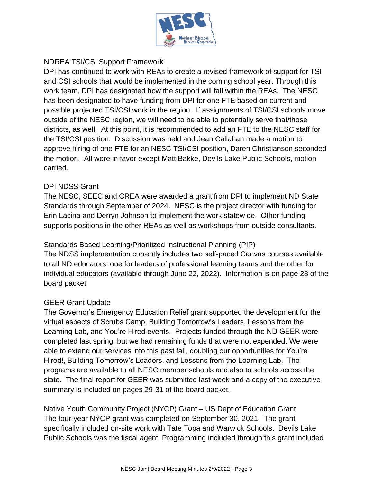

## NDREA TSI/CSI Support Framework

DPI has continued to work with REAs to create a revised framework of support for TSI and CSI schools that would be implemented in the coming school year. Through this work team, DPI has designated how the support will fall within the REAs. The NESC has been designated to have funding from DPI for one FTE based on current and possible projected TSI/CSI work in the region. If assignments of TSI/CSI schools move outside of the NESC region, we will need to be able to potentially serve that/those districts, as well. At this point, it is recommended to add an FTE to the NESC staff for the TSI/CSI position. Discussion was held and Jean Callahan made a motion to approve hiring of one FTE for an NESC TSI/CSI position, Daren Christianson seconded the motion. All were in favor except Matt Bakke, Devils Lake Public Schools, motion carried.

### DPI NDSS Grant

The NESC, SEEC and CREA were awarded a grant from DPI to implement ND State Standards through September of 2024. NESC is the project director with funding for Erin Lacina and Derryn Johnson to implement the work statewide. Other funding supports positions in the other REAs as well as workshops from outside consultants.

Standards Based Learning/Prioritized Instructional Planning (PIP)

The NDSS implementation currently includes two self-paced Canvas courses available to all ND educators; one for leaders of professional learning teams and the other for individual educators (available through June 22, 2022). Information is on page 28 of the board packet.

### GEER Grant Update

The Governor's Emergency Education Relief grant supported the development for the virtual aspects of Scrubs Camp, Building Tomorrow's Leaders, Lessons from the Learning Lab, and You're Hired events. Projects funded through the ND GEER were completed last spring, but we had remaining funds that were not expended. We were able to extend our services into this past fall, doubling our opportunities for You're Hired!, Building Tomorrow's Leaders, and Lessons from the Learning Lab. The programs are available to all NESC member schools and also to schools across the state. The final report for GEER was submitted last week and a copy of the executive summary is included on pages 29-31 of the board packet.

Native Youth Community Project (NYCP) Grant – US Dept of Education Grant The four-year NYCP grant was completed on September 30, 2021. The grant specifically included on-site work with Tate Topa and Warwick Schools. Devils Lake Public Schools was the fiscal agent. Programming included through this grant included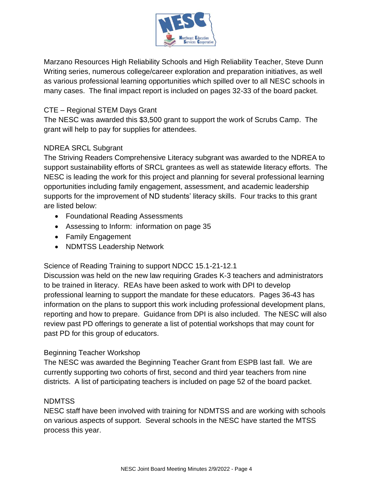

Marzano Resources High Reliability Schools and High Reliability Teacher, Steve Dunn Writing series, numerous college/career exploration and preparation initiatives, as well as various professional learning opportunities which spilled over to all NESC schools in many cases. The final impact report is included on pages 32-33 of the board packet.

# CTE – Regional STEM Days Grant

The NESC was awarded this \$3,500 grant to support the work of Scrubs Camp. The grant will help to pay for supplies for attendees.

## NDREA SRCL Subgrant

The Striving Readers Comprehensive Literacy subgrant was awarded to the NDREA to support sustainability efforts of SRCL grantees as well as statewide literacy efforts. The NESC is leading the work for this project and planning for several professional learning opportunities including family engagement, assessment, and academic leadership supports for the improvement of ND students' literacy skills. Four tracks to this grant are listed below:

- Foundational Reading Assessments
- Assessing to Inform: information on page 35
- Family Engagement
- NDMTSS Leadership Network

### Science of Reading Training to support NDCC 15.1-21-12.1

Discussion was held on the new law requiring Grades K-3 teachers and administrators to be trained in literacy. REAs have been asked to work with DPI to develop professional learning to support the mandate for these educators. Pages 36-43 has information on the plans to support this work including professional development plans, reporting and how to prepare. Guidance from DPI is also included. The NESC will also review past PD offerings to generate a list of potential workshops that may count for past PD for this group of educators.

### Beginning Teacher Workshop

The NESC was awarded the Beginning Teacher Grant from ESPB last fall. We are currently supporting two cohorts of first, second and third year teachers from nine districts. A list of participating teachers is included on page 52 of the board packet.

#### NDMTSS

NESC staff have been involved with training for NDMTSS and are working with schools on various aspects of support. Several schools in the NESC have started the MTSS process this year.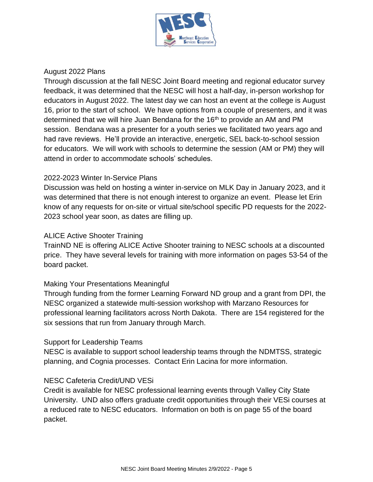

#### August 2022 Plans

Through discussion at the fall NESC Joint Board meeting and regional educator survey feedback, it was determined that the NESC will host a half-day, in-person workshop for educators in August 2022. The latest day we can host an event at the college is August 16, prior to the start of school. We have options from a couple of presenters, and it was determined that we will hire Juan Bendana for the 16<sup>th</sup> to provide an AM and PM session. Bendana was a presenter for a youth series we facilitated two years ago and had rave reviews. He'll provide an interactive, energetic, SEL back-to-school session for educators. We will work with schools to determine the session (AM or PM) they will attend in order to accommodate schools' schedules.

#### 2022-2023 Winter In-Service Plans

Discussion was held on hosting a winter in-service on MLK Day in January 2023, and it was determined that there is not enough interest to organize an event. Please let Erin know of any requests for on-site or virtual site/school specific PD requests for the 2022- 2023 school year soon, as dates are filling up.

#### ALICE Active Shooter Training

TrainND NE is offering ALICE Active Shooter training to NESC schools at a discounted price. They have several levels for training with more information on pages 53-54 of the board packet.

#### Making Your Presentations Meaningful

Through funding from the former Learning Forward ND group and a grant from DPI, the NESC organized a statewide multi-session workshop with Marzano Resources for professional learning facilitators across North Dakota. There are 154 registered for the six sessions that run from January through March.

#### Support for Leadership Teams

NESC is available to support school leadership teams through the NDMTSS, strategic planning, and Cognia processes. Contact Erin Lacina for more information.

#### NESC Cafeteria Credit/UND VESi

Credit is available for NESC professional learning events through Valley City State University. UND also offers graduate credit opportunities through their VESi courses at a reduced rate to NESC educators. Information on both is on page 55 of the board packet.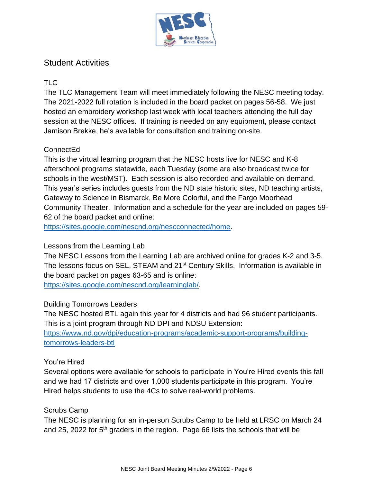

# Student Activities

# TLC

The TLC Management Team will meet immediately following the NESC meeting today. The 2021-2022 full rotation is included in the board packet on pages 56-58. We just hosted an embroidery workshop last week with local teachers attending the full day session at the NESC offices. If training is needed on any equipment, please contact Jamison Brekke, he's available for consultation and training on-site.

# ConnectEd

This is the virtual learning program that the NESC hosts live for NESC and K-8 afterschool programs statewide, each Tuesday (some are also broadcast twice for schools in the west/MST). Each session is also recorded and available on-demand. This year's series includes guests from the ND state historic sites, ND teaching artists, Gateway to Science in Bismarck, Be More Colorful, and the Fargo Moorhead Community Theater. Information and a schedule for the year are included on pages 59- 62 of the board packet and online:

[https://sites.google.com/nescnd.org/nescconnected/home.](https://sites.google.com/nescnd.org/nescconnected/home)

# Lessons from the Learning Lab

The NESC Lessons from the Learning Lab are archived online for grades K-2 and 3-5. The lessons focus on SEL, STEAM and 21<sup>st</sup> Century Skills. Information is available in the board packet on pages 63-65 and is online:

[https://sites.google.com/nescnd.org/learninglab/.](https://sites.google.com/nescnd.org/learninglab/)

# Building Tomorrows Leaders

The NESC hosted BTL again this year for 4 districts and had 96 student participants. This is a joint program through ND DPI and NDSU Extension:

[https://www.nd.gov/dpi/education-programs/academic-support-programs/building](https://www.nd.gov/dpi/education-programs/academic-support-programs/building-tomorrows-leaders-btl)[tomorrows-leaders-btl](https://www.nd.gov/dpi/education-programs/academic-support-programs/building-tomorrows-leaders-btl)

### You're Hired

Several options were available for schools to participate in You're Hired events this fall and we had 17 districts and over 1,000 students participate in this program. You're Hired helps students to use the 4Cs to solve real-world problems.

# Scrubs Camp

The NESC is planning for an in-person Scrubs Camp to be held at LRSC on March 24 and 25, 2022 for 5<sup>th</sup> graders in the region. Page 66 lists the schools that will be